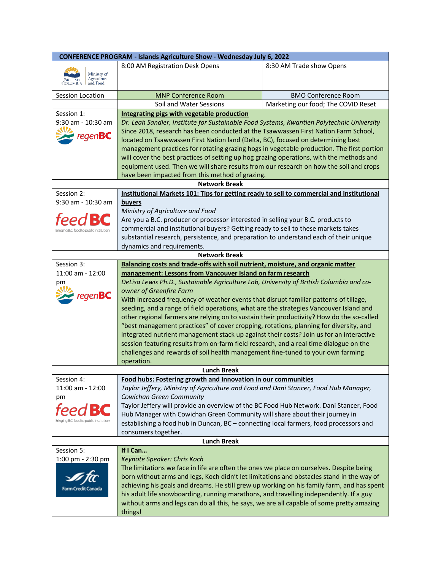| <b>CONFERENCE PROGRAM - Islands Agriculture Show - Wednesday July 6, 2022</b> |                                                                                                                                                                                   |                                     |  |  |
|-------------------------------------------------------------------------------|-----------------------------------------------------------------------------------------------------------------------------------------------------------------------------------|-------------------------------------|--|--|
|                                                                               | 8:00 AM Registration Desk Opens                                                                                                                                                   | 8:30 AM Trade show Opens            |  |  |
| Ministry of                                                                   |                                                                                                                                                                                   |                                     |  |  |
| BRITISH Agriculture                                                           |                                                                                                                                                                                   |                                     |  |  |
| Session Location                                                              | <b>MNP Conference Room</b>                                                                                                                                                        | <b>BMO Conference Room</b>          |  |  |
|                                                                               | Soil and Water Sessions                                                                                                                                                           | Marketing our food; The COVID Reset |  |  |
| Session 1:                                                                    | Integrating pigs with vegetable production                                                                                                                                        |                                     |  |  |
| 9:30 am - 10:30 am                                                            | Dr. Leah Sandler, Institute for Sustainable Food Systems, Kwantlen Polytechnic University                                                                                         |                                     |  |  |
|                                                                               | Since 2018, research has been conducted at the Tsawwassen First Nation Farm School,                                                                                               |                                     |  |  |
| $regen$ <b>BC</b>                                                             | located on Tsawwassen First Nation land (Delta, BC), focused on determining best                                                                                                  |                                     |  |  |
|                                                                               | management practices for rotating grazing hogs in vegetable production. The first portion                                                                                         |                                     |  |  |
|                                                                               | will cover the best practices of setting up hog grazing operations, with the methods and                                                                                          |                                     |  |  |
|                                                                               | equipment used. Then we will share results from our research on how the soil and crops                                                                                            |                                     |  |  |
|                                                                               | have been impacted from this method of grazing.                                                                                                                                   |                                     |  |  |
|                                                                               | <b>Network Break</b>                                                                                                                                                              |                                     |  |  |
| Session 2:                                                                    | Institutional Markets 101: Tips for getting ready to sell to commercial and institutional                                                                                         |                                     |  |  |
| 9:30 am - 10:30 am                                                            | <b>buyers</b>                                                                                                                                                                     |                                     |  |  |
|                                                                               | Ministry of Agriculture and Food                                                                                                                                                  |                                     |  |  |
| teec                                                                          | Are you a B.C. producer or processor interested in selling your B.C. products to                                                                                                  |                                     |  |  |
| inging B.C. food to public institutions                                       | commercial and institutional buyers? Getting ready to sell to these markets takes                                                                                                 |                                     |  |  |
|                                                                               | substantial research, persistence, and preparation to understand each of their unique                                                                                             |                                     |  |  |
|                                                                               | dynamics and requirements.                                                                                                                                                        |                                     |  |  |
|                                                                               | <b>Network Break</b>                                                                                                                                                              |                                     |  |  |
| Session 3:                                                                    | Balancing costs and trade-offs with soil nutrient, moisture, and organic matter                                                                                                   |                                     |  |  |
| 11:00 am - 12:00                                                              | management: Lessons from Vancouver Island on farm research                                                                                                                        |                                     |  |  |
| pm                                                                            | DeLisa Lewis Ph.D., Sustainable Agriculture Lab, University of British Columbia and co-                                                                                           |                                     |  |  |
| $regen$ BC                                                                    | owner of Greenfire Farm                                                                                                                                                           |                                     |  |  |
|                                                                               | With increased frequency of weather events that disrupt familiar patterns of tillage,                                                                                             |                                     |  |  |
|                                                                               | seeding, and a range of field operations, what are the strategies Vancouver Island and                                                                                            |                                     |  |  |
|                                                                               | other regional farmers are relying on to sustain their productivity? How do the so-called                                                                                         |                                     |  |  |
|                                                                               | "best management practices" of cover cropping, rotations, planning for diversity, and                                                                                             |                                     |  |  |
|                                                                               | integrated nutrient management stack up against their costs? Join us for an interactive<br>session featuring results from on-farm field research, and a real time dialogue on the |                                     |  |  |
|                                                                               | challenges and rewards of soil health management fine-tuned to your own farming                                                                                                   |                                     |  |  |
|                                                                               | operation.                                                                                                                                                                        |                                     |  |  |
|                                                                               | <b>Lunch Break</b>                                                                                                                                                                |                                     |  |  |
| Session 4:                                                                    | Food hubs: Fostering growth and Innovation in our communities                                                                                                                     |                                     |  |  |
| 11:00 am - 12:00                                                              | Taylor Jeffery, Ministry of Agriculture and Food and Dani Stancer, Food Hub Manager,                                                                                              |                                     |  |  |
| рm                                                                            | Cowichan Green Community                                                                                                                                                          |                                     |  |  |
|                                                                               | Taylor Jeffery will provide an overview of the BC Food Hub Network. Dani Stancer, Food                                                                                            |                                     |  |  |
|                                                                               | Hub Manager with Cowichan Green Community will share about their journey in                                                                                                       |                                     |  |  |
| B.C. food to public institution                                               | establishing a food hub in Duncan, BC - connecting local farmers, food processors and                                                                                             |                                     |  |  |
|                                                                               | consumers together.                                                                                                                                                               |                                     |  |  |
|                                                                               | <b>Lunch Break</b>                                                                                                                                                                |                                     |  |  |
| Session 5:                                                                    | If I Can                                                                                                                                                                          |                                     |  |  |
| 1:00 pm - 2:30 pm                                                             | Keynote Speaker: Chris Koch                                                                                                                                                       |                                     |  |  |
|                                                                               | The limitations we face in life are often the ones we place on ourselves. Despite being                                                                                           |                                     |  |  |
|                                                                               | born without arms and legs, Koch didn't let limitations and obstacles stand in the way of                                                                                         |                                     |  |  |
| Farm Credit Cana                                                              | achieving his goals and dreams. He still grew up working on his family farm, and has spent                                                                                        |                                     |  |  |
|                                                                               | his adult life snowboarding, running marathons, and travelling independently. If a guy                                                                                            |                                     |  |  |
|                                                                               | without arms and legs can do all this, he says, we are all capable of some pretty amazing                                                                                         |                                     |  |  |
|                                                                               | things!                                                                                                                                                                           |                                     |  |  |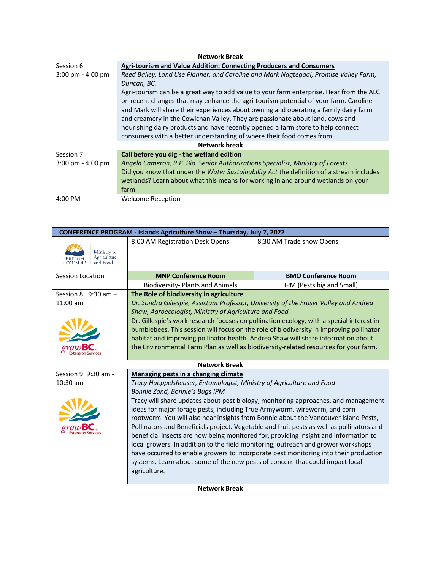| <b>Network Break</b>                |                                                                                          |  |
|-------------------------------------|------------------------------------------------------------------------------------------|--|
| Session 6:                          | Agri-tourism and Value Addition: Connecting Producers and Consumers                      |  |
| $3:00 \text{ pm} - 4:00 \text{ pm}$ | Reed Bailey, Land Use Planner, and Caroline and Mark Nagtegaal, Promise Valley Farm,     |  |
|                                     | Duncan, BC.                                                                              |  |
|                                     | Agri-tourism can be a great way to add value to your farm enterprise. Hear from the ALC  |  |
|                                     | on recent changes that may enhance the agri-tourism potential of your farm. Caroline     |  |
|                                     | and Mark will share their experiences about owning and operating a family dairy farm     |  |
|                                     | and creamery in the Cowichan Valley. They are passionate about land, cows and            |  |
|                                     | nourishing dairy products and have recently opened a farm store to help connect          |  |
|                                     | consumers with a better understanding of where their food comes from.                    |  |
| Network break                       |                                                                                          |  |
| Session 7:                          | Call before you dig - the wetland edition                                                |  |
| $3:00 \text{ pm} - 4:00 \text{ pm}$ | Angela Cameron, R.P. Bio. Senior Authorizations Specialist, Ministry of Forests          |  |
|                                     | Did you know that under the Water Sustainability Act the definition of a stream includes |  |
|                                     | wetlands? Learn about what this means for working in and around wetlands on your         |  |
|                                     | farm.                                                                                    |  |
| $4:00$ PM                           | <b>Welcome Reception</b>                                                                 |  |
|                                     |                                                                                          |  |

|                                        |                                                                                          | CONFERENCE PROGRAM - Islands Agriculture Show - Thursday, July 7, 2022                    |  |  |
|----------------------------------------|------------------------------------------------------------------------------------------|-------------------------------------------------------------------------------------------|--|--|
| Ministry of<br>Agriculture<br>and Food | 8:00 AM Registration Desk Opens                                                          | 8:30 AM Trade show Opens                                                                  |  |  |
| Session Location                       | <b>MNP Conference Room</b>                                                               | <b>BMO Conference Room</b>                                                                |  |  |
|                                        | <b>Biodiversity-Plants and Animals</b>                                                   | IPM (Pests big and Small)                                                                 |  |  |
| Session 8: 9:30 am -                   | The Role of biodiversity in agriculture                                                  |                                                                                           |  |  |
| $11:00$ am                             | Dr. Sandra Gillespie, Assistant Professor, University of the Fraser Valley and Andrea    |                                                                                           |  |  |
|                                        | Shaw, Agroecologist, Ministry of Agriculture and Food.                                   |                                                                                           |  |  |
|                                        | Dr. Gillespie's work research focuses on pollination ecology, with a special interest in |                                                                                           |  |  |
|                                        | bumblebees. This session will focus on the role of biodiversity in improving pollinator  |                                                                                           |  |  |
|                                        | habitat and improving pollinator health. Andrea Shaw will share information about        |                                                                                           |  |  |
|                                        | the Environmental Farm Plan as well as biodiversity-related resources for your farm.     |                                                                                           |  |  |
|                                        |                                                                                          |                                                                                           |  |  |
|                                        | <b>Network Break</b>                                                                     |                                                                                           |  |  |
| Session 9: 9:30 am -                   | Managing pests in a changing climate                                                     |                                                                                           |  |  |
| $10:30$ am                             | Tracy Hueppelsheuser, Entomologist, Ministry of Agriculture and Food                     |                                                                                           |  |  |
|                                        |                                                                                          |                                                                                           |  |  |
|                                        | Bonnie Zand, Bonnie's Bugs IPM                                                           |                                                                                           |  |  |
|                                        |                                                                                          | Tracy will share updates about pest biology, monitoring approaches, and management        |  |  |
|                                        | ideas for major forage pests, including True Armyworm, wireworm, and corn                |                                                                                           |  |  |
|                                        |                                                                                          | rootworm. You will also hear insights from Bonnie about the Vancouver Island Pests,       |  |  |
|                                        |                                                                                          | Pollinators and Beneficials project. Vegetable and fruit pests as well as pollinators and |  |  |
|                                        |                                                                                          | beneficial insects are now being monitored for, providing insight and information to      |  |  |
|                                        | local growers. In addition to the field monitoring, outreach and grower workshops        |                                                                                           |  |  |
|                                        |                                                                                          | have occurred to enable growers to incorporate pest monitoring into their production      |  |  |
|                                        | systems. Learn about some of the new pests of concern that could impact local            |                                                                                           |  |  |
|                                        | agriculture.                                                                             |                                                                                           |  |  |